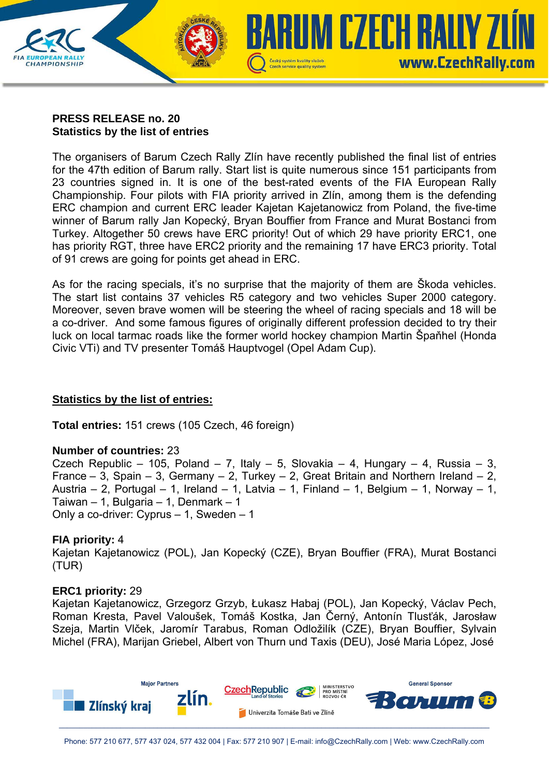

## **PRESS RELEASE no. 20 Statistics by the list of entries**

The organisers of Barum Czech Rally Zlín have recently published the final list of entries for the 47th edition of Barum rally. Start list is quite numerous since 151 participants from 23 countries signed in. It is one of the best-rated events of the FIA European Rally Championship. Four pilots with FIA priority arrived in Zlín, among them is the defending ERC champion and current ERC leader Kajetan Kajetanowicz from Poland, the five-time winner of Barum rally Jan Kopecký, Bryan Bouffier from France and Murat Bostanci from Turkey. Altogether 50 crews have ERC priority! Out of which 29 have priority ERC1, one has priority RGT, three have ERC2 priority and the remaining 17 have ERC3 priority. Total of 91 crews are going for points get ahead in ERC.

As for the racing specials, it's no surprise that the majority of them are Škoda vehicles. The start list contains 37 vehicles R5 category and two vehicles Super 2000 category. Moreover, seven brave women will be steering the wheel of racing specials and 18 will be a co-driver. And some famous figures of originally different profession decided to try their luck on local tarmac roads like the former world hockey champion Martin Špaňhel (Honda Civic VTi) and TV presenter Tomáš Hauptvogel (Opel Adam Cup).

# **Statistics by the list of entries:**

**Total entries:** 151 crews (105 Czech, 46 foreign)

## **Number of countries:** 23

Czech Republic – 105, Poland – 7, Italy – 5, Slovakia – 4, Hungary – 4, Russia – 3, France – 3, Spain – 3, Germany – 2, Turkey – 2, Great Britain and Northern Ireland – 2, Austria – 2, Portugal – 1, Ireland – 1, Latvia – 1, Finland – 1, Belgium – 1, Norway – 1, Taiwan – 1, Bulgaria – 1, Denmark – 1 Only a co-driver: Cyprus – 1, Sweden – 1

## **FIA priority:** 4

Kajetan Kajetanowicz (POL), Jan Kopecký (CZE), Bryan Bouffier (FRA), Murat Bostanci (TUR)

## **ERC1 priority:** 29

Kajetan Kajetanowicz, Grzegorz Grzyb, Łukasz Habaj (POL), Jan Kopecký, Václav Pech, Roman Kresta, Pavel Valoušek, Tomáš Kostka, Jan Černý, Antonín Tlusťák, Jarosław Szeja, Martin Vlček, Jaromír Tarabus, Roman Odložilík (CZE), Bryan Bouffier, Sylvain Michel (FRA), Marijan Griebel, Albert von Thurn und Taxis (DEU), José Maria López, José

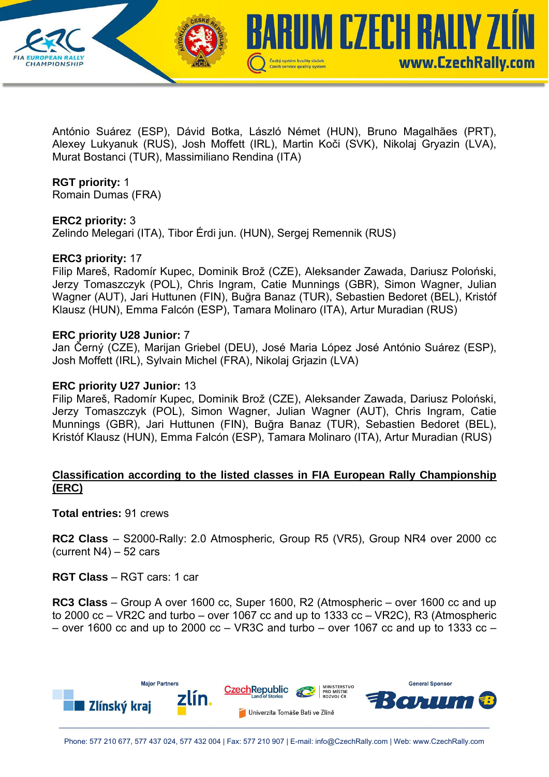

António Suárez (ESP), Dávid Botka, László Német (HUN), Bruno Magalhães (PRT), Alexey Lukyanuk (RUS), Josh Moffett (IRL), Martin Koči (SVK), Nikolaj Gryazin (LVA), Murat Bostanci (TUR), Massimiliano Rendina (ITA)

## **RGT priority:** 1

Romain Dumas (FRA)

### **ERC2 priority:** 3

Zelindo Melegari (ITA), Tibor Érdi jun. (HUN), Sergej Remennik (RUS)

#### **ERC3 priority:** 17

Filip Mareš, Radomír Kupec, Dominik Brož (CZE), Aleksander Zawada, Dariusz Poloński, Jerzy Tomaszczyk (POL), Chris Ingram, Catie Munnings (GBR), Simon Wagner, Julian Wagner (AUT), Jari Huttunen (FIN), Buğra Banaz (TUR), Sebastien Bedoret (BEL), Kristóf Klausz (HUN), Emma Falcón (ESP), Tamara Molinaro (ITA), Artur Muradian (RUS)

### **ERC priority U28 Junior:** 7

Jan Černý (CZE), Marijan Griebel (DEU), José Maria López José António Suárez (ESP), Josh Moffett (IRL), Sylvain Michel (FRA), Nikolaj Grjazin (LVA)

### **ERC priority U27 Junior:** 13

Filip Mareš, Radomír Kupec, Dominik Brož (CZE), Aleksander Zawada, Dariusz Poloński, Jerzy Tomaszczyk (POL), Simon Wagner, Julian Wagner (AUT), Chris Ingram, Catie Munnings (GBR), Jari Huttunen (FIN), Buğra Banaz (TUR), Sebastien Bedoret (BEL), Kristóf Klausz (HUN), Emma Falcón (ESP), Tamara Molinaro (ITA), Artur Muradian (RUS)

## **Classification according to the listed classes in FIA European Rally Championship (ERC)**

**Total entries:** 91 crews

**RC2 Class** – S2000-Rally: 2.0 Atmospheric, Group R5 (VR5), Group NR4 over 2000 cc (current N4) – 52 cars

**RGT Class** – RGT cars: 1 car

**RC3 Class** – Group A over 1600 cc, Super 1600, R2 (Atmospheric – over 1600 cc and up to 2000 cc – VR2C and turbo – over 1067 cc and up to 1333 cc – VR2C), R3 (Atmospheric – over 1600 cc and up to 2000 cc – VR3C and turbo – over 1067 cc and up to 1333 cc –